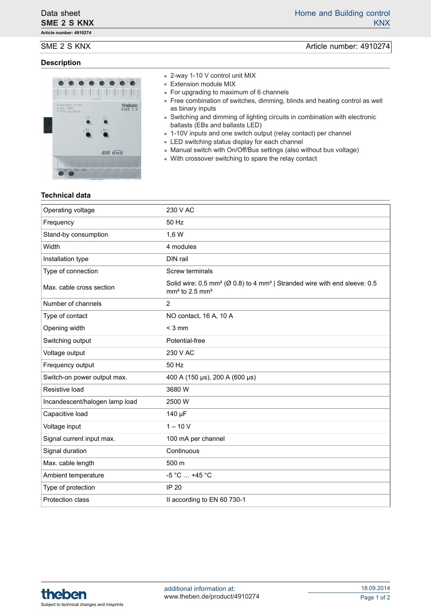**Article number: 4910274**

## **Description**

SME 2 S KNX Article number: 4910274



- 2-way 1-10 V control unit MIX
- Extension module MIX
- For upgrading to maximum of 6 channels
- Free combination of switches, dimming, blinds and heating control as well as binary inputs
- Switching and dimming of lighting circuits in combination with electronic ballasts (EBs and ballasts LED)
- 1-10V inputs and one switch output (relay contact) per channel
- LED switching status display for each channel
- Manual switch with On/Off/Bus settings (also without bus voltage)
- With crossover switching to spare the relay contact

## **Technical data**

| Operating voltage              | 230 V AC                                                                                                                          |
|--------------------------------|-----------------------------------------------------------------------------------------------------------------------------------|
| Frequency                      | 50 Hz                                                                                                                             |
| Stand-by consumption           | 1,6 W                                                                                                                             |
| Width                          | 4 modules                                                                                                                         |
| Installation type              | DIN rail                                                                                                                          |
| Type of connection             | Screw terminals                                                                                                                   |
| Max. cable cross section       | Solid wire: 0.5 mm <sup>2</sup> (Ø 0.8) to 4 mm <sup>2</sup>   Stranded wire with end sleeve: 0.5<br>$mm2$ to 2.5 mm <sup>2</sup> |
| Number of channels             | $\overline{2}$                                                                                                                    |
| Type of contact                | NO contact, 16 A, 10 A                                                                                                            |
| Opening width                  | $<$ 3 mm                                                                                                                          |
| Switching output               | Potential-free                                                                                                                    |
| Voltage output                 | 230 V AC                                                                                                                          |
| Frequency output               | 50 Hz                                                                                                                             |
| Switch-on power output max.    | 400 A (150 µs), 200 A (600 µs)                                                                                                    |
| Resistive load                 | 3680 W                                                                                                                            |
| Incandescent/halogen lamp load | 2500 W                                                                                                                            |
| Capacitive load                | 140 µF                                                                                                                            |
| Voltage input                  | $1 - 10V$                                                                                                                         |
| Signal current input max.      | 100 mA per channel                                                                                                                |
| Signal duration                | Continuous                                                                                                                        |
| Max. cable length              | 500 m                                                                                                                             |
| Ambient temperature            | -5 °C  +45 °C                                                                                                                     |
| Type of protection             | <b>IP 20</b>                                                                                                                      |
| Protection class               | II according to EN 60 730-1                                                                                                       |